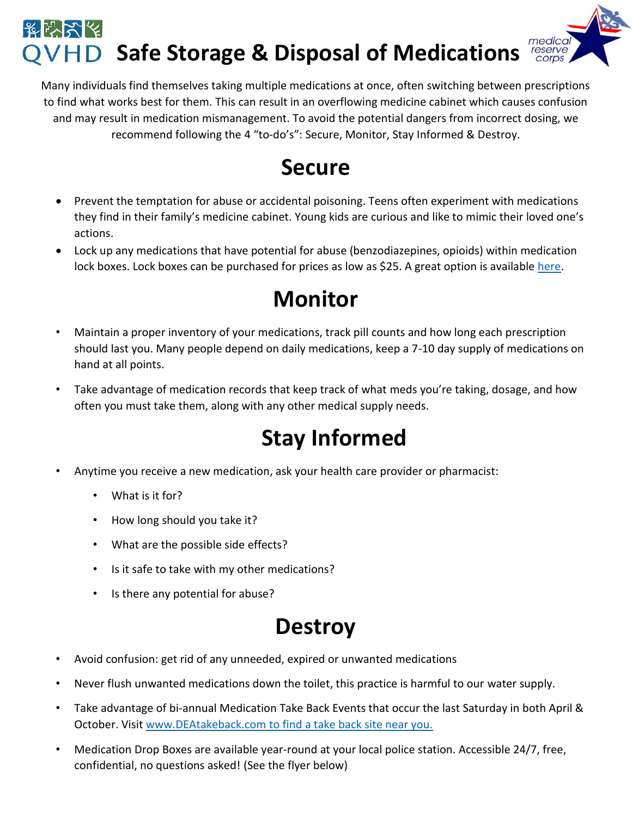#### そんなん medica **Safe Storage & Disposal of Medications**

Many individuals find themselves taking multiple medications at once, often switching between prescriptions to find what works best for them. This can result in an overflowing medicine cabinet which causes confusion and may result in medication mismanagement. To avoid the potential dangers from incorrect dosing, we recommend following the 4 "to-do's": Secure, Monitor, Stay Informed & Destroy.

#### **Secure**

- Prevent the temptation for abuse or accidental poisoning. Teens often experiment with medications they find in their family's medicine cabinet. Young kids are curious and like to mimic their loved one's actions.
- Lock up any medications that have potential for abuse (benzodiazepines, opioids) within medication lock boxes. Lock boxes can be purchased for prices as low as \$25. A great option is available [here.](https://www.amazon.com/eoere-Combination-Medicine-Compartments-Prescription/dp/B01HR87JKG/ref=pd_lpo_vtph_bs_t_1?_encoding=UTF8&psc=1&refRID=AXS9AXMZZJP47EZSX34P)

### **Monitor**

- Maintain a proper inventory of your medications, track pill counts and how long each prescription should last you. Many people depend on daily medications, keep a 7-10 day supply of medications on hand at all points.
- Take advantage of medication records that keep track of what meds you're taking, dosage, and how often you must take them, along with any other medical supply needs.

## **Stay Informed**

- Anytime you receive a new medication, ask your health care provider or pharmacist:
	- What is it for?
	- How long should you take it?
	- What are the possible side effects?
	- Is it safe to take with my other medications?
	- Is there any potential for abuse?

### **Destroy**

- Avoid confusion: get rid of any unneeded, expired or unwanted medications
- Never flush unwanted medications down the toilet, this practice is harmful to our water supply.
- Take advantage of bi-annual Medication Take Back Events that occur the last Saturday in both April & October. Visit [www.DEAtakeback.com](http://www.deatakeback.com/) to find a take back site near you.
- Medication Drop Boxes are available year-round at your local police station. Accessible 24/7, free, confidential, no questions asked! (See the flyer below)